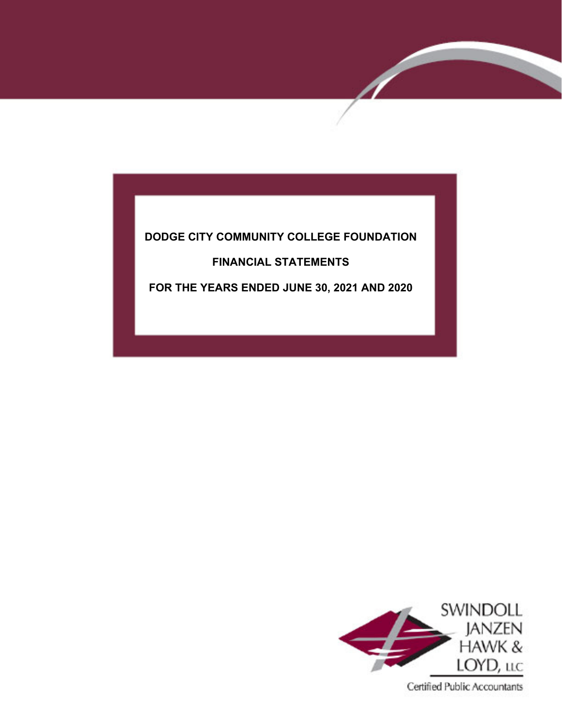

# **FINANCIAL STATEMENTS**

**FOR THE YEARS ENDED JUNE 30, 2021 AND 2020** 



Certified Public Accountants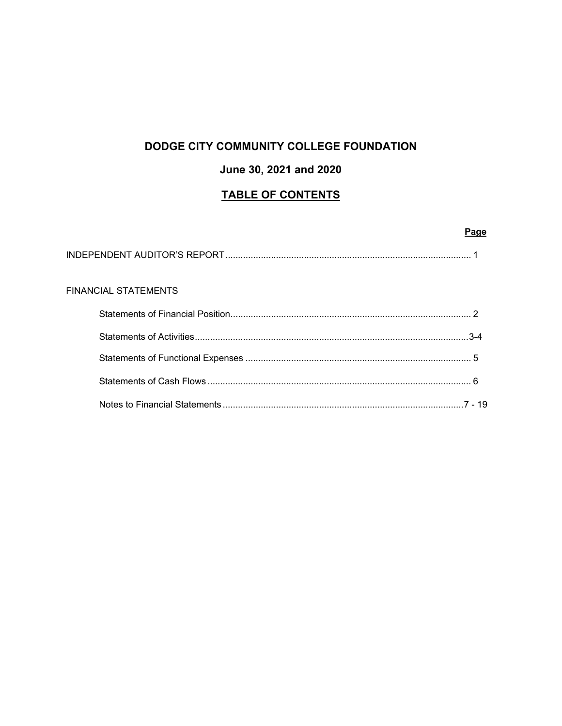# June 30, 2021 and 2020

# TABLE OF CONTENTS

# Page

| <b>FINANCIAL STATEMENTS</b> |  |
|-----------------------------|--|
|                             |  |
|                             |  |
|                             |  |
|                             |  |
|                             |  |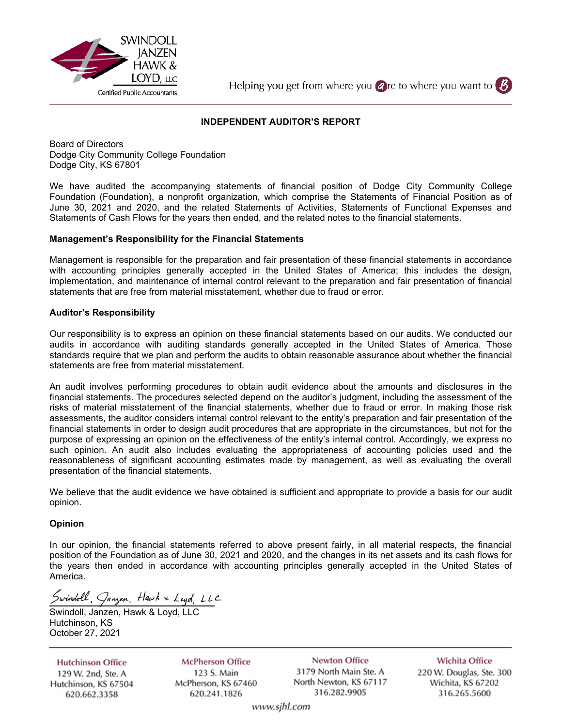

Helping you get from where you **Z** re to where you want to  $\mathcal{B}$ 

#### **INDEPENDENT AUDITOR'S REPORT**

Board of Directors Dodge City Community College Foundation Dodge City, KS 67801

We have audited the accompanying statements of financial position of Dodge City Community College Foundation (Foundation), a nonprofit organization, which comprise the Statements of Financial Position as of June 30, 2021 and 2020, and the related Statements of Activities, Statements of Functional Expenses and Statements of Cash Flows for the years then ended, and the related notes to the financial statements.

#### **Management's Responsibility for the Financial Statements**

Management is responsible for the preparation and fair presentation of these financial statements in accordance with accounting principles generally accepted in the United States of America; this includes the design, implementation, and maintenance of internal control relevant to the preparation and fair presentation of financial statements that are free from material misstatement, whether due to fraud or error.

#### **Auditor's Responsibility**

Our responsibility is to express an opinion on these financial statements based on our audits. We conducted our audits in accordance with auditing standards generally accepted in the United States of America. Those standards require that we plan and perform the audits to obtain reasonable assurance about whether the financial statements are free from material misstatement.

An audit involves performing procedures to obtain audit evidence about the amounts and disclosures in the financial statements. The procedures selected depend on the auditor's judgment, including the assessment of the risks of material misstatement of the financial statements, whether due to fraud or error. In making those risk assessments, the auditor considers internal control relevant to the entity's preparation and fair presentation of the financial statements in order to design audit procedures that are appropriate in the circumstances, but not for the purpose of expressing an opinion on the effectiveness of the entity's internal control. Accordingly, we express no such opinion. An audit also includes evaluating the appropriateness of accounting policies used and the reasonableness of significant accounting estimates made by management, as well as evaluating the overall presentation of the financial statements.

We believe that the audit evidence we have obtained is sufficient and appropriate to provide a basis for our audit opinion.

#### **Opinion**

In our opinion, the financial statements referred to above present fairly, in all material respects, the financial position of the Foundation as of June 30, 2021 and 2020, and the changes in its net assets and its cash flows for the years then ended in accordance with accounting principles generally accepted in the United States of America.

 $\overline{\phantom{a}}$ 

Swindoll, Janzen, Hawk & Loyd, LLC Hutchinson, KS October 27, 2021

**Hutchinson Office** 129 W. 2nd. Ste. A Hutchinson, KS 67504 620.662.3358

**McPherson Office** 123 S. Main McPherson, KS 67460 620.241.1826

**Newton Office** 3179 North Main Ste. A North Newton, KS 67117 316.282.9905

**Wichita Office** 220 W. Douglas, Ste. 300<br>Wichita, KS 67202 316.265.5600

www.sjhl.com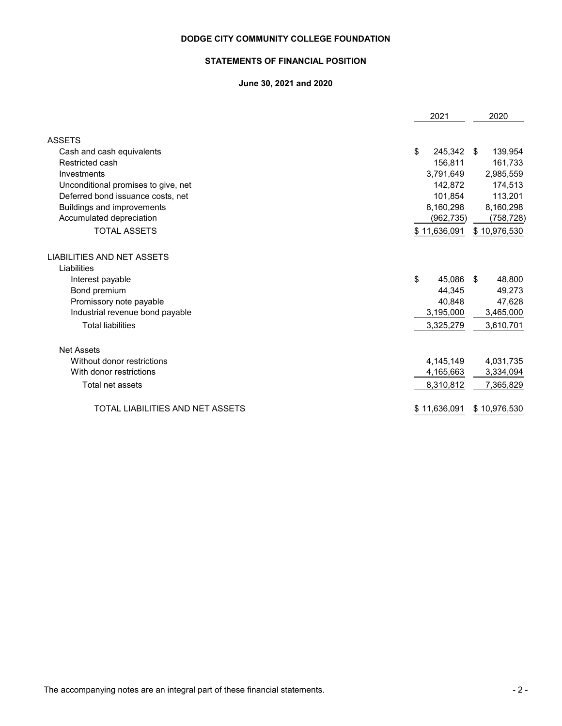# **STATEMENTS OF FINANCIAL POSITION**

#### **June 30, 2021 and 2020**

|                                     | 2021          | 2020          |
|-------------------------------------|---------------|---------------|
| ASSETS                              |               |               |
| Cash and cash equivalents           | \$<br>245.342 | 139,954<br>\$ |
| Restricted cash                     | 156,811       | 161,733       |
| Investments                         | 3,791,649     | 2,985,559     |
| Unconditional promises to give, net | 142,872       | 174,513       |
| Deferred bond issuance costs, net   | 101,854       | 113,201       |
| Buildings and improvements          | 8,160,298     | 8,160,298     |
| Accumulated depreciation            | (962, 735)    | (758, 728)    |
| <b>TOTAL ASSETS</b>                 | \$11,636,091  | \$10,976,530  |
| LIABILITIES AND NET ASSETS          |               |               |
| Liabilities                         |               |               |
| Interest payable                    | \$<br>45,086  | 48,800<br>\$  |
| Bond premium                        | 44,345        | 49,273        |
| Promissory note payable             | 40,848        | 47,628        |
| Industrial revenue bond payable     | 3,195,000     | 3,465,000     |
| <b>Total liabilities</b>            | 3,325,279     | 3,610,701     |
| <b>Net Assets</b>                   |               |               |
| Without donor restrictions          | 4,145,149     | 4,031,735     |
| With donor restrictions             | 4,165,663     | 3,334,094     |
| Total net assets                    | 8,310,812     | 7,365,829     |
| TOTAL LIABILITIES AND NET ASSETS    | \$11,636,091  | \$10,976,530  |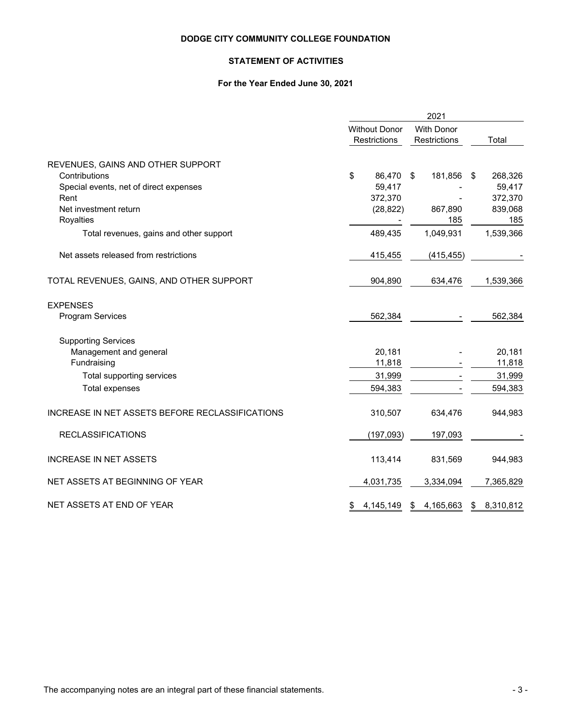# **STATEMENT OF ACTIVITIES**

#### **For the Year Ended June 30, 2021**

|                                                 | 2021                                 |                                   |                 |
|-------------------------------------------------|--------------------------------------|-----------------------------------|-----------------|
|                                                 | <b>Without Donor</b><br>Restrictions | <b>With Donor</b><br>Restrictions | Total           |
| REVENUES, GAINS AND OTHER SUPPORT               |                                      |                                   |                 |
| Contributions                                   | \$<br>86,470                         | 181,856<br>-\$                    | 268,326<br>\$   |
| Special events, net of direct expenses          | 59,417                               |                                   | 59,417          |
| Rent                                            | 372,370                              |                                   | 372,370         |
| Net investment return                           | (28, 822)                            | 867,890                           | 839,068         |
| Royalties                                       |                                      | 185                               | 185             |
| Total revenues, gains and other support         | 489,435                              | 1,049,931                         | 1,539,366       |
| Net assets released from restrictions           | 415,455                              | (415, 455)                        |                 |
| TOTAL REVENUES, GAINS, AND OTHER SUPPORT        | 904,890                              | 634,476                           | 1,539,366       |
| <b>EXPENSES</b>                                 |                                      |                                   |                 |
| <b>Program Services</b>                         | 562,384                              |                                   | 562,384         |
| <b>Supporting Services</b>                      |                                      |                                   |                 |
| Management and general                          | 20,181                               |                                   | 20,181          |
| Fundraising                                     | 11,818                               |                                   | 11,818          |
| Total supporting services                       | 31,999                               |                                   | 31,999          |
| <b>Total expenses</b>                           | 594,383                              |                                   | 594,383         |
| INCREASE IN NET ASSETS BEFORE RECLASSIFICATIONS | 310,507                              | 634,476                           | 944,983         |
| <b>RECLASSIFICATIONS</b>                        | (197, 093)                           | 197,093                           |                 |
| <b>INCREASE IN NET ASSETS</b>                   | 113,414                              | 831,569                           | 944,983         |
| NET ASSETS AT BEGINNING OF YEAR                 | 4,031,735                            | 3,334,094                         | 7,365,829       |
| NET ASSETS AT END OF YEAR                       | 4, 145, 149<br>\$                    | 4,165,663<br>\$                   | 8,310,812<br>\$ |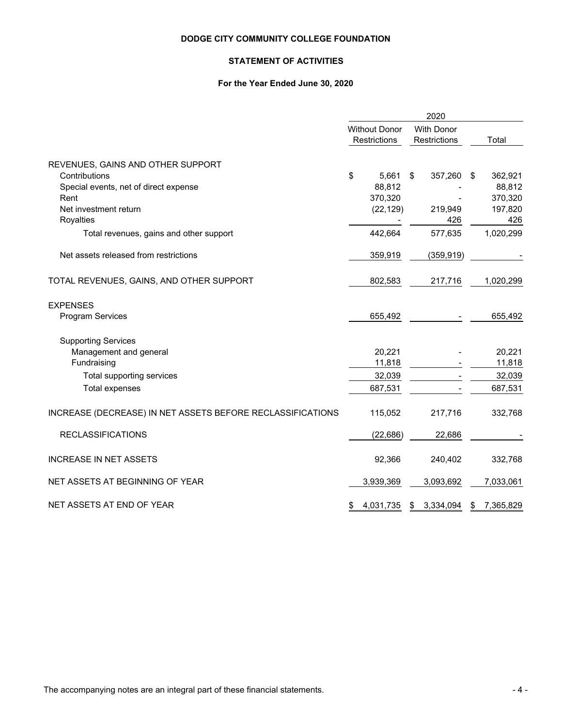#### **STATEMENT OF ACTIVITIES**

#### **For the Year Ended June 30, 2020**

|                                                            | 2020                                 |                                   |                 |
|------------------------------------------------------------|--------------------------------------|-----------------------------------|-----------------|
|                                                            | <b>Without Donor</b><br>Restrictions | <b>With Donor</b><br>Restrictions | Total           |
| REVENUES, GAINS AND OTHER SUPPORT                          |                                      |                                   |                 |
| Contributions                                              | \$<br>5,661                          | 357,260<br>\$                     | 362,921<br>\$   |
| Special events, net of direct expense                      | 88,812                               |                                   | 88,812          |
| Rent                                                       | 370,320                              |                                   | 370,320         |
| Net investment return                                      | (22, 129)                            | 219,949                           | 197,820         |
| Royalties                                                  |                                      | 426                               | 426             |
| Total revenues, gains and other support                    | 442,664                              | 577,635                           | 1,020,299       |
| Net assets released from restrictions                      | 359,919                              | (359, 919)                        |                 |
| TOTAL REVENUES, GAINS, AND OTHER SUPPORT                   | 802,583                              | 217,716                           | 1,020,299       |
| <b>EXPENSES</b>                                            |                                      |                                   |                 |
| <b>Program Services</b>                                    | 655,492                              |                                   | 655,492         |
| <b>Supporting Services</b>                                 |                                      |                                   |                 |
| Management and general                                     | 20,221                               |                                   | 20,221          |
| Fundraising                                                | 11,818                               |                                   | 11,818          |
| Total supporting services                                  | 32,039                               |                                   | 32,039          |
| Total expenses                                             | 687,531                              |                                   | 687,531         |
| INCREASE (DECREASE) IN NET ASSETS BEFORE RECLASSIFICATIONS | 115,052                              | 217,716                           | 332,768         |
| <b>RECLASSIFICATIONS</b>                                   | (22, 686)                            | 22,686                            |                 |
| <b>INCREASE IN NET ASSETS</b>                              | 92,366                               | 240,402                           | 332,768         |
| NET ASSETS AT BEGINNING OF YEAR                            | 3,939,369                            | 3,093,692                         | 7,033,061       |
| NET ASSETS AT END OF YEAR                                  | 4,031,735<br>\$                      | 3,334,094<br>\$                   | 7,365,829<br>\$ |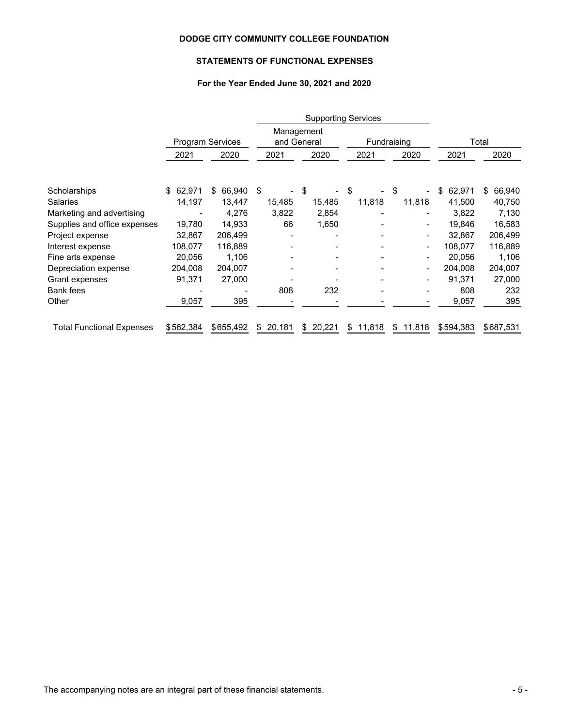#### **STATEMENTS OF FUNCTIONAL EXPENSES**

#### **For the Year Ended June 30, 2021 and 2020**

|                                  |              |                  | <b>Supporting Services</b> |                           |              |              |           |              |
|----------------------------------|--------------|------------------|----------------------------|---------------------------|--------------|--------------|-----------|--------------|
|                                  |              | Program Services |                            | Management<br>and General |              | Fundraising  |           | Total        |
|                                  | 2021         | 2020             | 2021                       | 2020                      | 2021         | 2020         | 2021      | 2020         |
| Scholarships                     | 62,971<br>\$ | 66,940<br>\$     | \$                         | \$                        | \$           | \$           | 62,971    | 66,940<br>\$ |
| <b>Salaries</b>                  | 14,197       | 13,447           | 15,485                     | 15,485                    | 11,818       | 11,818       | 41,500    | 40,750       |
| Marketing and advertising        |              | 4,276            | 3,822                      | 2,854                     |              |              | 3,822     | 7,130        |
| Supplies and office expenses     | 19,780       | 14,933           | 66                         | 1,650                     |              |              | 19,846    | 16,583       |
| Project expense                  | 32,867       | 206,499          |                            |                           |              |              | 32,867    | 206,499      |
| Interest expense                 | 108,077      | 116,889          |                            |                           |              | Ξ.           | 108,077   | 116,889      |
| Fine arts expense                | 20,056       | 1,106            |                            |                           |              |              | 20,056    | 1,106        |
| Depreciation expense             | 204,008      | 204,007          |                            |                           |              |              | 204,008   | 204,007      |
| Grant expenses                   | 91,371       | 27,000           |                            |                           |              |              | 91,371    | 27,000       |
| Bank fees                        |              |                  | 808                        | 232                       |              |              | 808       | 232          |
| Other                            | 9,057        | 395              |                            |                           |              |              | 9,057     | 395          |
| <b>Total Functional Expenses</b> | \$562,384    | \$655,492        | 20,181<br>\$               | \$20,221                  | 11,818<br>\$ | 11,818<br>\$ | \$594,383 | \$687,531    |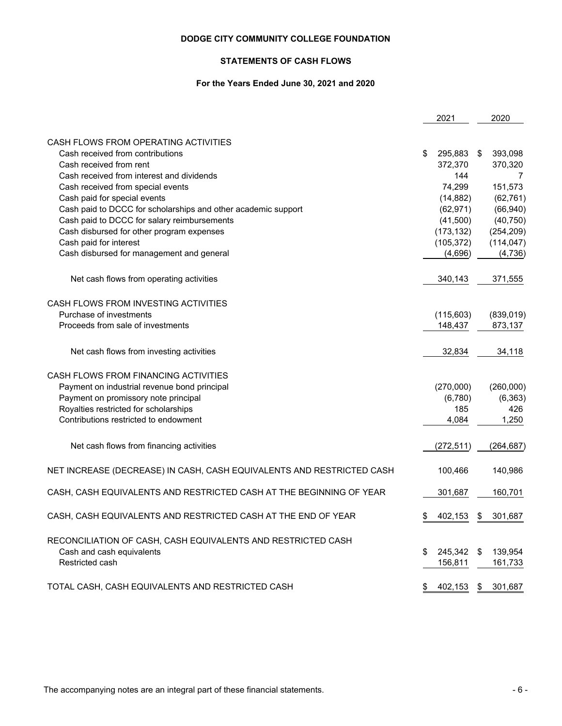# **STATEMENTS OF CASH FLOWS**

#### **For the Years Ended June 30, 2021 and 2020**

|                                                                                                              | 2021                     | 2020                     |
|--------------------------------------------------------------------------------------------------------------|--------------------------|--------------------------|
| CASH FLOWS FROM OPERATING ACTIVITIES                                                                         |                          |                          |
| Cash received from contributions                                                                             | \$<br>295,883            | \$<br>393,098            |
| Cash received from rent                                                                                      | 372,370                  | 370,320                  |
| Cash received from interest and dividends                                                                    | 144                      | 7                        |
| Cash received from special events                                                                            | 74,299                   | 151,573                  |
| Cash paid for special events                                                                                 | (14, 882)                | (62, 761)                |
| Cash paid to DCCC for scholarships and other academic support                                                | (62, 971)                | (66, 940)                |
| Cash paid to DCCC for salary reimbursements                                                                  | (41,500)                 | (40, 750)                |
| Cash disbursed for other program expenses                                                                    | (173, 132)               | (254, 209)               |
| Cash paid for interest                                                                                       | (105, 372)               | (114, 047)               |
| Cash disbursed for management and general                                                                    | (4,696)                  | (4,736)                  |
| Net cash flows from operating activities                                                                     | 340,143                  | 371,555                  |
| CASH FLOWS FROM INVESTING ACTIVITIES                                                                         |                          |                          |
| Purchase of investments                                                                                      | (115,603)                | (839,019)                |
| Proceeds from sale of investments                                                                            | 148,437                  | 873,137                  |
| Net cash flows from investing activities                                                                     | 32,834                   | 34,118                   |
| CASH FLOWS FROM FINANCING ACTIVITIES                                                                         |                          |                          |
| Payment on industrial revenue bond principal                                                                 | (270,000)                | (260,000)                |
| Payment on promissory note principal                                                                         | (6,780)                  | (6, 363)                 |
| Royalties restricted for scholarships                                                                        | 185                      | 426                      |
| Contributions restricted to endowment                                                                        | 4.084                    | 1,250                    |
| Net cash flows from financing activities                                                                     | (272, 511)               | (264, 687)               |
| NET INCREASE (DECREASE) IN CASH, CASH EQUIVALENTS AND RESTRICTED CASH                                        | 100,466                  | 140,986                  |
| CASH, CASH EQUIVALENTS AND RESTRICTED CASH AT THE BEGINNING OF YEAR                                          | 301,687                  | 160,701                  |
| CASH, CASH EQUIVALENTS AND RESTRICTED CASH AT THE END OF YEAR                                                | 402,153                  | \$<br>301,687            |
| RECONCILIATION OF CASH, CASH EQUIVALENTS AND RESTRICTED CASH<br>Cash and cash equivalents<br>Restricted cash | \$<br>245,342<br>156,811 | \$<br>139,954<br>161,733 |
| TOTAL CASH, CASH EQUIVALENTS AND RESTRICTED CASH                                                             | \$<br>402,153            | \$<br>301,687            |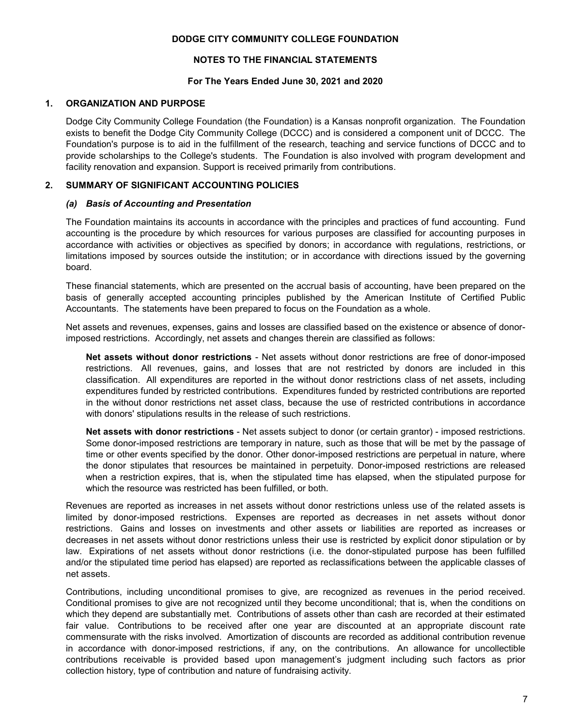#### **NOTES TO THE FINANCIAL STATEMENTS**

#### **For The Years Ended June 30, 2021 and 2020**

#### **1. ORGANIZATION AND PURPOSE**

Dodge City Community College Foundation (the Foundation) is a Kansas nonprofit organization. The Foundation exists to benefit the Dodge City Community College (DCCC) and is considered a component unit of DCCC. The Foundation's purpose is to aid in the fulfillment of the research, teaching and service functions of DCCC and to provide scholarships to the College's students. The Foundation is also involved with program development and facility renovation and expansion. Support is received primarily from contributions.

#### **2. SUMMARY OF SIGNIFICANT ACCOUNTING POLICIES**

#### *(a) Basis of Accounting and Presentation*

The Foundation maintains its accounts in accordance with the principles and practices of fund accounting. Fund accounting is the procedure by which resources for various purposes are classified for accounting purposes in accordance with activities or objectives as specified by donors; in accordance with regulations, restrictions, or limitations imposed by sources outside the institution; or in accordance with directions issued by the governing board.

These financial statements, which are presented on the accrual basis of accounting, have been prepared on the basis of generally accepted accounting principles published by the American Institute of Certified Public Accountants. The statements have been prepared to focus on the Foundation as a whole.

Net assets and revenues, expenses, gains and losses are classified based on the existence or absence of donorimposed restrictions. Accordingly, net assets and changes therein are classified as follows:

**Net assets without donor restrictions** - Net assets without donor restrictions are free of donor-imposed restrictions. All revenues, gains, and losses that are not restricted by donors are included in this classification. All expenditures are reported in the without donor restrictions class of net assets, including expenditures funded by restricted contributions. Expenditures funded by restricted contributions are reported in the without donor restrictions net asset class, because the use of restricted contributions in accordance with donors' stipulations results in the release of such restrictions.

**Net assets with donor restrictions** - Net assets subject to donor (or certain grantor) - imposed restrictions. Some donor-imposed restrictions are temporary in nature, such as those that will be met by the passage of time or other events specified by the donor. Other donor-imposed restrictions are perpetual in nature, where the donor stipulates that resources be maintained in perpetuity. Donor-imposed restrictions are released when a restriction expires, that is, when the stipulated time has elapsed, when the stipulated purpose for which the resource was restricted has been fulfilled, or both.

Revenues are reported as increases in net assets without donor restrictions unless use of the related assets is limited by donor-imposed restrictions. Expenses are reported as decreases in net assets without donor restrictions. Gains and losses on investments and other assets or liabilities are reported as increases or decreases in net assets without donor restrictions unless their use is restricted by explicit donor stipulation or by law. Expirations of net assets without donor restrictions (i.e. the donor-stipulated purpose has been fulfilled and/or the stipulated time period has elapsed) are reported as reclassifications between the applicable classes of net assets.

Contributions, including unconditional promises to give, are recognized as revenues in the period received. Conditional promises to give are not recognized until they become unconditional; that is, when the conditions on which they depend are substantially met. Contributions of assets other than cash are recorded at their estimated fair value. Contributions to be received after one year are discounted at an appropriate discount rate commensurate with the risks involved. Amortization of discounts are recorded as additional contribution revenue in accordance with donor-imposed restrictions, if any, on the contributions. An allowance for uncollectible contributions receivable is provided based upon management's judgment including such factors as prior collection history, type of contribution and nature of fundraising activity.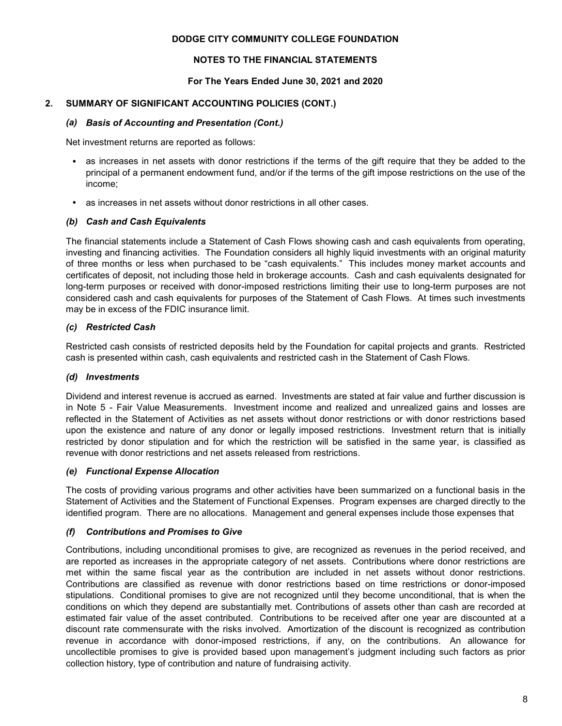## **NOTES TO THE FINANCIAL STATEMENTS**

#### **For The Years Ended June 30, 2021 and 2020**

#### **2. SUMMARY OF SIGNIFICANT ACCOUNTING POLICIES (CONT.)**

#### *(a) Basis of Accounting and Presentation (Cont.)*

Net investment returns are reported as follows:

- $\bullet$ as increases in net assets with donor restrictions if the terms of the gift require that they be added to the principal of a permanent endowment fund, and/or if the terms of the gift impose restrictions on the use of the income;
- as increases in net assets without donor restrictions in all other cases.

#### *(b) Cash and Cash Equivalents*

The financial statements include a Statement of Cash Flows showing cash and cash equivalents from operating, investing and financing activities. The Foundation considers all highly liquid investments with an original maturity of three months or less when purchased to be "cash equivalents." This includes money market accounts and certificates of deposit, not including those held in brokerage accounts. Cash and cash equivalents designated for long-term purposes or received with donor-imposed restrictions limiting their use to long-term purposes are not considered cash and cash equivalents for purposes of the Statement of Cash Flows. At times such investments may be in excess of the FDIC insurance limit.

#### *(c) Restricted Cash*

Restricted cash consists of restricted deposits held by the Foundation for capital projects and grants. Restricted cash is presented within cash, cash equivalents and restricted cash in the Statement of Cash Flows.

#### *(d) Investments*

Dividend and interest revenue is accrued as earned. Investments are stated at fair value and further discussion is in Note 5 - Fair Value Measurements. Investment income and realized and unrealized gains and losses are reflected in the Statement of Activities as net assets without donor restrictions or with donor restrictions based upon the existence and nature of any donor or legally imposed restrictions. Investment return that is initially restricted by donor stipulation and for which the restriction will be satisfied in the same year, is classified as revenue with donor restrictions and net assets released from restrictions.

#### *(e) Functional Expense Allocation*

The costs of providing various programs and other activities have been summarized on a functional basis in the Statement of Activities and the Statement of Functional Expenses. Program expenses are charged directly to the identified program. There are no allocations. Management and general expenses include those expenses that

#### *(f) Contributions and Promises to Give*

Contributions, including unconditional promises to give, are recognized as revenues in the period received, and are reported as increases in the appropriate category of net assets. Contributions where donor restrictions are met within the same fiscal year as the contribution are included in net assets without donor restrictions. Contributions are classified as revenue with donor restrictions based on time restrictions or donor-imposed stipulations. Conditional promises to give are not recognized until they become unconditional, that is when the conditions on which they depend are substantially met. Contributions of assets other than cash are recorded at estimated fair value of the asset contributed. Contributions to be received after one year are discounted at a discount rate commensurate with the risks involved. Amortization of the discount is recognized as contribution revenue in accordance with donor-imposed restrictions, if any, on the contributions. An allowance for uncollectible promises to give is provided based upon management's judgment including such factors as prior collection history, type of contribution and nature of fundraising activity.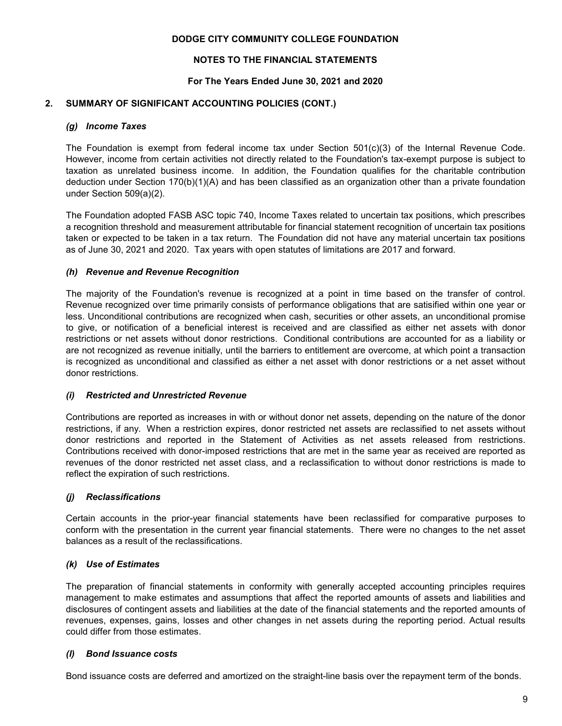## **NOTES TO THE FINANCIAL STATEMENTS**

### **For The Years Ended June 30, 2021 and 2020**

# **2. SUMMARY OF SIGNIFICANT ACCOUNTING POLICIES (CONT.)**

# *(g) Income Taxes*

The Foundation is exempt from federal income tax under Section 501(c)(3) of the Internal Revenue Code. However, income from certain activities not directly related to the Foundation's tax-exempt purpose is subject to taxation as unrelated business income. In addition, the Foundation qualifies for the charitable contribution deduction under Section 170(b)(1)(A) and has been classified as an organization other than a private foundation under Section 509(a)(2).

The Foundation adopted FASB ASC topic 740, Income Taxes related to uncertain tax positions, which prescribes a recognition threshold and measurement attributable for financial statement recognition of uncertain tax positions taken or expected to be taken in a tax return. The Foundation did not have any material uncertain tax positions as of June 30, 2021 and 2020. Tax years with open statutes of limitations are 2017 and forward.

# *(h) Revenue and Revenue Recognition*

The majority of the Foundation's revenue is recognized at a point in time based on the transfer of control. Revenue recognized over time primarily consists of performance obligations that are satisified within one year or less. Unconditional contributions are recognized when cash, securities or other assets, an unconditional promise to give, or notification of a beneficial interest is received and are classified as either net assets with donor restrictions or net assets without donor restrictions. Conditional contributions are accounted for as a liability or are not recognized as revenue initially, until the barriers to entitlement are overcome, at which point a transaction is recognized as unconditional and classified as either a net asset with donor restrictions or a net asset without donor restrictions.

# *(i) Restricted and Unrestricted Revenue*

Contributions are reported as increases in with or without donor net assets, depending on the nature of the donor restrictions, if any. When a restriction expires, donor restricted net assets are reclassified to net assets without donor restrictions and reported in the Statement of Activities as net assets released from restrictions. Contributions received with donor-imposed restrictions that are met in the same year as received are reported as revenues of the donor restricted net asset class, and a reclassification to without donor restrictions is made to reflect the expiration of such restrictions.

# *(j) Reclassifications*

Certain accounts in the prior-year financial statements have been reclassified for comparative purposes to conform with the presentation in the current year financial statements. There were no changes to the net asset balances as a result of the reclassifications.

# *(k) Use of Estimates*

The preparation of financial statements in conformity with generally accepted accounting principles requires management to make estimates and assumptions that affect the reported amounts of assets and liabilities and disclosures of contingent assets and liabilities at the date of the financial statements and the reported amounts of revenues, expenses, gains, losses and other changes in net assets during the reporting period. Actual results could differ from those estimates.

# *(l) Bond Issuance costs*

Bond issuance costs are deferred and amortized on the straight-line basis over the repayment term of the bonds.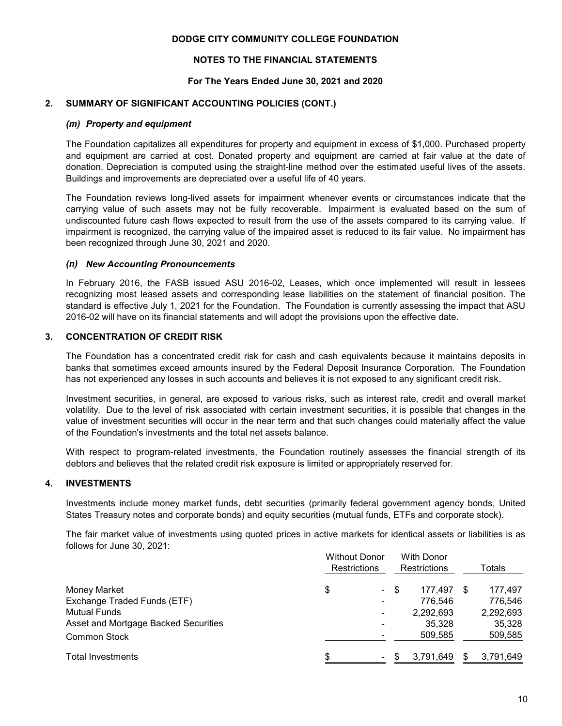#### **NOTES TO THE FINANCIAL STATEMENTS**

#### **For The Years Ended June 30, 2021 and 2020**

#### **2. SUMMARY OF SIGNIFICANT ACCOUNTING POLICIES (CONT.)**

#### *(m) Property and equipment*

The Foundation capitalizes all expenditures for property and equipment in excess of \$1,000. Purchased property and equipment are carried at cost. Donated property and equipment are carried at fair value at the date of donation. Depreciation is computed using the straight-line method over the estimated useful lives of the assets. Buildings and improvements are depreciated over a useful life of 40 years.

The Foundation reviews long-lived assets for impairment whenever events or circumstances indicate that the carrying value of such assets may not be fully recoverable. Impairment is evaluated based on the sum of undiscounted future cash flows expected to result from the use of the assets compared to its carrying value. If impairment is recognized, the carrying value of the impaired asset is reduced to its fair value. No impairment has been recognized through June 30, 2021 and 2020.

#### *(n) New Accounting Pronouncements*

In February 2016, the FASB issued ASU 2016-02, Leases, which once implemented will result in lessees recognizing most leased assets and corresponding lease liabilities on the statement of financial position. The standard is effective July 1, 2021 for the Foundation. The Foundation is currently assessing the impact that ASU 2016-02 will have on its financial statements and will adopt the provisions upon the effective date.

#### **3. CONCENTRATION OF CREDIT RISK**

The Foundation has a concentrated credit risk for cash and cash equivalents because it maintains deposits in banks that sometimes exceed amounts insured by the Federal Deposit Insurance Corporation. The Foundation has not experienced any losses in such accounts and believes it is not exposed to any significant credit risk.

Investment securities, in general, are exposed to various risks, such as interest rate, credit and overall market volatility. Due to the level of risk associated with certain investment securities, it is possible that changes in the value of investment securities will occur in the near term and that such changes could materially affect the value of the Foundation's investments and the total net assets balance.

With respect to program-related investments, the Foundation routinely assesses the financial strength of its debtors and believes that the related credit risk exposure is limited or appropriately reserved for.

#### **4. INVESTMENTS**

Investments include money market funds, debt securities (primarily federal government agency bonds, United States Treasury notes and corporate bonds) and equity securities (mutual funds, ETFs and corporate stock).

The fair market value of investments using quoted prices in active markets for identical assets or liabilities is as follows for June 30, 2021:

|                                      | <b>Without Donor</b><br><b>Restrictions</b> |      | <b>With Donor</b><br><b>Restrictions</b> |     | Totals    |
|--------------------------------------|---------------------------------------------|------|------------------------------------------|-----|-----------|
| <b>Money Market</b>                  | \$                                          | - \$ | 177.497                                  |     | 177,497   |
| Exchange Traded Funds (ETF)          |                                             |      | 776.546                                  |     | 776,546   |
| <b>Mutual Funds</b>                  |                                             |      | 2,292,693                                |     | 2,292,693 |
| Asset and Mortgage Backed Securities |                                             |      | 35.328                                   |     | 35,328    |
| <b>Common Stock</b>                  |                                             |      | 509,585                                  |     | 509,585   |
| <b>Total Investments</b>             |                                             |      | 3,791,649                                | \$. | 3,791,649 |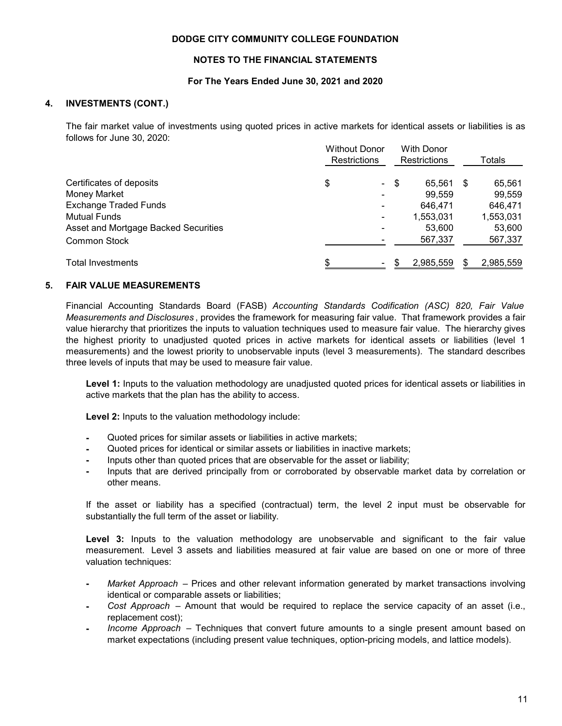# **NOTES TO THE FINANCIAL STATEMENTS**

#### **For The Years Ended June 30, 2021 and 2020**

#### **4. INVESTMENTS (CONT.)**

The fair market value of investments using quoted prices in active markets for identical assets or liabilities is as follows for June 30, 2020:

|                                      | <b>Without Donor</b><br>Restrictions |      | <b>With Donor</b><br><b>Restrictions</b> | Totals    |
|--------------------------------------|--------------------------------------|------|------------------------------------------|-----------|
| Certificates of deposits             | \$                                   | - \$ | 65.561                                   | 65.561    |
| Money Market                         |                                      |      | 99.559                                   | 99,559    |
| <b>Exchange Traded Funds</b>         |                                      |      | 646.471                                  | 646,471   |
| <b>Mutual Funds</b>                  |                                      |      | 1,553,031                                | 1,553,031 |
| Asset and Mortgage Backed Securities |                                      |      | 53,600                                   | 53,600    |
| <b>Common Stock</b>                  |                                      |      | 567,337                                  | 567,337   |
| <b>Total Investments</b>             | \$                                   | \$.  | 2,985,559                                | 2,985,559 |

#### **5. FAIR VALUE MEASUREMENTS**

Financial Accounting Standards Board (FASB) *Accounting Standards Codification (ASC) 820, Fair Value Measurements and Disclosures* , provides the framework for measuring fair value. That framework provides a fair value hierarchy that prioritizes the inputs to valuation techniques used to measure fair value. The hierarchy gives the highest priority to unadjusted quoted prices in active markets for identical assets or liabilities (level 1 measurements) and the lowest priority to unobservable inputs (level 3 measurements). The standard describes three levels of inputs that may be used to measure fair value.

**Level 1:** Inputs to the valuation methodology are unadjusted quoted prices for identical assets or liabilities in active markets that the plan has the ability to access.

**Level 2:** Inputs to the valuation methodology include:

- **-** Quoted prices for similar assets or liabilities in active markets;
- **-** Quoted prices for identical or similar assets or liabilities in inactive markets;
- **-** Inputs other than quoted prices that are observable for the asset or liability;
- **-** Inputs that are derived principally from or corroborated by observable market data by correlation or other means.

If the asset or liability has a specified (contractual) term, the level 2 input must be observable for substantially the full term of the asset or liability.

**Level 3:** Inputs to the valuation methodology are unobservable and significant to the fair value measurement. Level 3 assets and liabilities measured at fair value are based on one or more of three valuation techniques:

- **-** *Market Approach* – Prices and other relevant information generated by market transactions involving identical or comparable assets or liabilities;
- **-** *Cost Approach* – Amount that would be required to replace the service capacity of an asset (i.e., replacement cost);
- **-** *Income Approach* – Techniques that convert future amounts to a single present amount based on market expectations (including present value techniques, option-pricing models, and lattice models).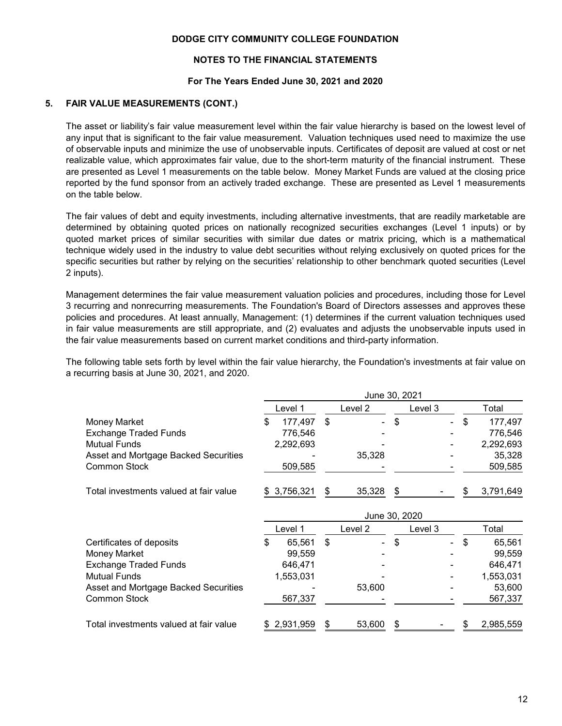#### **NOTES TO THE FINANCIAL STATEMENTS**

#### **For The Years Ended June 30, 2021 and 2020**

#### **5. FAIR VALUE MEASUREMENTS (CONT.)**

The asset or liability's fair value measurement level within the fair value hierarchy is based on the lowest level of any input that is significant to the fair value measurement. Valuation techniques used need to maximize the use of observable inputs and minimize the use of unobservable inputs. Certificates of deposit are valued at cost or net realizable value, which approximates fair value, due to the short-term maturity of the financial instrument. These are presented as Level 1 measurements on the table below. Money Market Funds are valued at the closing price reported by the fund sponsor from an actively traded exchange. These are presented as Level 1 measurements on the table below.

The fair values of debt and equity investments, including alternative investments, that are readily marketable are determined by obtaining quoted prices on nationally recognized securities exchanges (Level 1 inputs) or by quoted market prices of similar securities with similar due dates or matrix pricing, which is a mathematical technique widely used in the industry to value debt securities without relying exclusively on quoted prices for the specific securities but rather by relying on the securities' relationship to other benchmark quoted securities (Level 2 inputs).

Management determines the fair value measurement valuation policies and procedures, including those for Level 3 recurring and nonrecurring measurements. The Foundation's Board of Directors assesses and approves these policies and procedures. At least annually, Management: (1) determines if the current valuation techniques used in fair value measurements are still appropriate, and (2) evaluates and adjusts the unobservable inputs used in the fair value measurements based on current market conditions and third-party information.

The following table sets forth by level within the fair value hierarchy, the Foundation's investments at fair value on a recurring basis at June 30, 2021, and 2020.

|                                        | June 30, 2021 |             |    |               |    |         |    |           |
|----------------------------------------|---------------|-------------|----|---------------|----|---------|----|-----------|
|                                        |               | Level 1     |    | Level 2       |    | Level 3 |    | Total     |
| Money Market                           | \$            | 177,497     | \$ |               | \$ |         | \$ | 177,497   |
| <b>Exchange Traded Funds</b>           |               | 776,546     |    |               |    |         |    | 776,546   |
| <b>Mutual Funds</b>                    |               | 2,292,693   |    |               |    |         |    | 2,292,693 |
| Asset and Mortgage Backed Securities   |               |             |    | 35,328        |    |         |    | 35,328    |
| <b>Common Stock</b>                    |               | 509,585     |    |               |    |         |    | 509,585   |
| Total investments valued at fair value |               | \$3,756,321 | \$ | 35,328        | \$ |         | S  | 3,791,649 |
|                                        |               |             |    | June 30, 2020 |    |         |    |           |
|                                        |               | Level 1     |    | Level 2       |    | Level 3 |    | Total     |
| Certificates of deposits               | \$            | 65,561      | \$ |               | \$ |         | \$ | 65,561    |
| Money Market                           |               | 99,559      |    |               |    |         |    | 99,559    |
| <b>Exchange Traded Funds</b>           |               | 646,471     |    |               |    |         |    | 646,471   |
| <b>Mutual Funds</b>                    |               | 1,553,031   |    |               |    |         |    | 1,553,031 |
| Asset and Mortgage Backed Securities   |               |             |    | 53,600        |    |         |    | 53,600    |
| <b>Common Stock</b>                    |               | 567,337     |    |               |    |         |    | 567,337   |
| Total investments valued at fair value |               | 2,931,959   | S  | 53,600        | S  |         |    | 2,985,559 |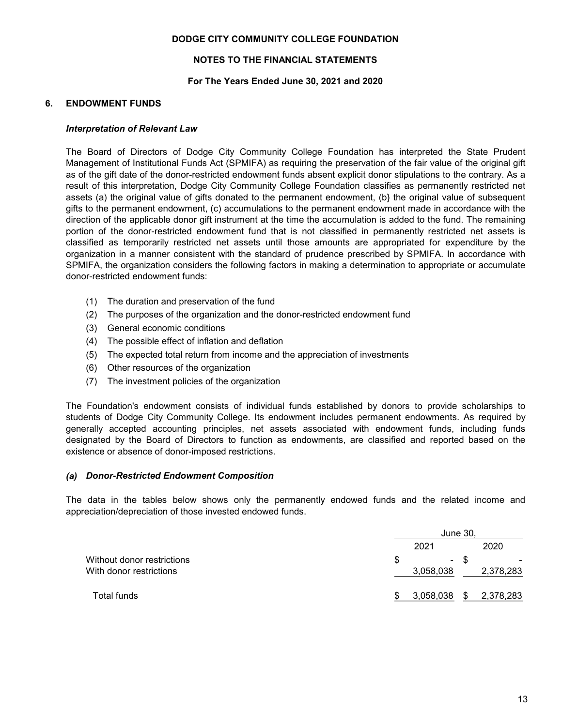### **NOTES TO THE FINANCIAL STATEMENTS**

#### **For The Years Ended June 30, 2021 and 2020**

#### **6. ENDOWMENT FUNDS**

#### *Interpretation of Relevant Law*

The Board of Directors of Dodge City Community College Foundation has interpreted the State Prudent Management of Institutional Funds Act (SPMIFA) as requiring the preservation of the fair value of the original gift as of the gift date of the donor-restricted endowment funds absent explicit donor stipulations to the contrary. As a result of this interpretation, Dodge City Community College Foundation classifies as permanently restricted net assets (a) the original value of gifts donated to the permanent endowment, (b} the original value of subsequent gifts to the permanent endowment, (c) accumulations to the permanent endowment made in accordance with the direction of the applicable donor gift instrument at the time the accumulation is added to the fund. The remaining portion of the donor-restricted endowment fund that is not classified in permanently restricted net assets is classified as temporarily restricted net assets until those amounts are appropriated for expenditure by the organization in a manner consistent with the standard of prudence prescribed by SPMIFA. In accordance with SPMIFA, the organization considers the following factors in making a determination to appropriate or accumulate donor-restricted endowment funds:

- (1) The duration and preservation of the fund
- (2) The purposes of the organization and the donor-restricted endowment fund
- (3) General economic conditions
- (4) The possible effect of inflation and deflation
- (5) The expected total return from income and the appreciation of investments
- (6) Other resources of the organization
- (7) The investment policies of the organization

The Foundation's endowment consists of individual funds established by donors to provide scholarships to students of Dodge City Community College. Its endowment includes permanent endowments. As required by generally accepted accounting principles, net assets associated with endowment funds, including funds designated by the Board of Directors to function as endowments, are classified and reported based on the existence or absence of donor-imposed restrictions.

#### *(a) Donor-Restricted Endowment Composition*

The data in the tables below shows only the permanently endowed funds and the related income and appreciation/depreciation of those invested endowed funds.

|                                                       | June 30,                          |     |           |
|-------------------------------------------------------|-----------------------------------|-----|-----------|
|                                                       | 2021                              |     | 2020      |
| Without donor restrictions<br>With donor restrictions | \$<br>$\blacksquare$<br>3,058,038 | \$. | 2,378,283 |
| Total funds                                           | 3,058,038                         | S   | 2,378,283 |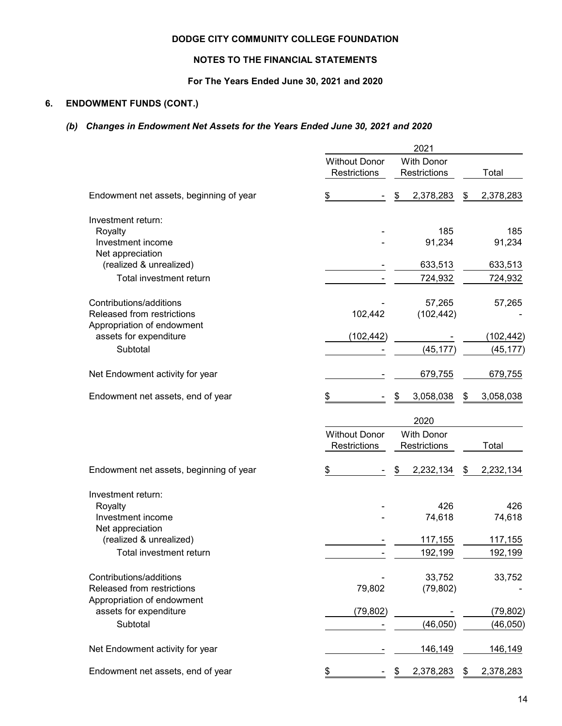# **NOTES TO THE FINANCIAL STATEMENTS**

## **For The Years Ended June 30, 2021 and 2020**

# **6. ENDOWMENT FUNDS (CONT.)**

## *(b) Changes in Endowment Net Assets for the Years Ended June 30, 2021 and 2020*

|                                         |                      | 2021              |                 |
|-----------------------------------------|----------------------|-------------------|-----------------|
|                                         | <b>Without Donor</b> | <b>With Donor</b> |                 |
|                                         | Restrictions         | Restrictions      | Total           |
| Endowment net assets, beginning of year | \$                   | \$<br>2,378,283   | 2,378,283<br>\$ |
| Investment return:                      |                      |                   |                 |
| Royalty                                 |                      | 185               | 185             |
| Investment income                       |                      | 91,234            | 91,234          |
| Net appreciation                        |                      |                   |                 |
| (realized & unrealized)                 |                      | 633,513           | 633,513         |
| Total investment return                 |                      | 724,932           | 724,932         |
| Contributions/additions                 |                      | 57,265            | 57,265          |
| Released from restrictions              | 102,442              | (102, 442)        |                 |
| Appropriation of endowment              |                      |                   |                 |
| assets for expenditure                  | (102, 442)           |                   | (102, 442)      |
| Subtotal                                |                      | (45, 177)         | (45, 177)       |
| Net Endowment activity for year         |                      | 679,755           | 679,755         |
| Endowment net assets, end of year       | \$                   | 3,058,038<br>\$   | 3,058,038<br>\$ |
|                                         |                      | 2020              |                 |
|                                         | <b>Without Donor</b> | <b>With Donor</b> |                 |
|                                         | Restrictions         | Restrictions      | Total           |
| Endowment net assets, beginning of year | \$                   | 2,232,134<br>\$   | 2,232,134<br>\$ |
| Investment return:                      |                      |                   |                 |
| Royalty                                 |                      | 426               | 426             |
| Investment income                       |                      | 74,618            | 74,618          |
| Net appreciation                        |                      |                   |                 |
| (realized & unrealized)                 |                      | 117,155           | 117,155         |
| Total investment return                 |                      | 192,199           | 192,199         |
| Contributions/additions                 |                      | 33,752            | 33,752          |
| Released from restrictions              | 79,802               | (79, 802)         |                 |
| Appropriation of endowment              |                      |                   |                 |
| assets for expenditure                  | (79, 802)            |                   | (79, 802)       |
| Subtotal                                |                      | (46, 050)         | (46, 050)       |
| Net Endowment activity for year         |                      | <u>146,149</u>    | <u>146,149</u>  |
| Endowment net assets, end of year       | \$                   | 2,378,283<br>\$   | 2,378,283<br>\$ |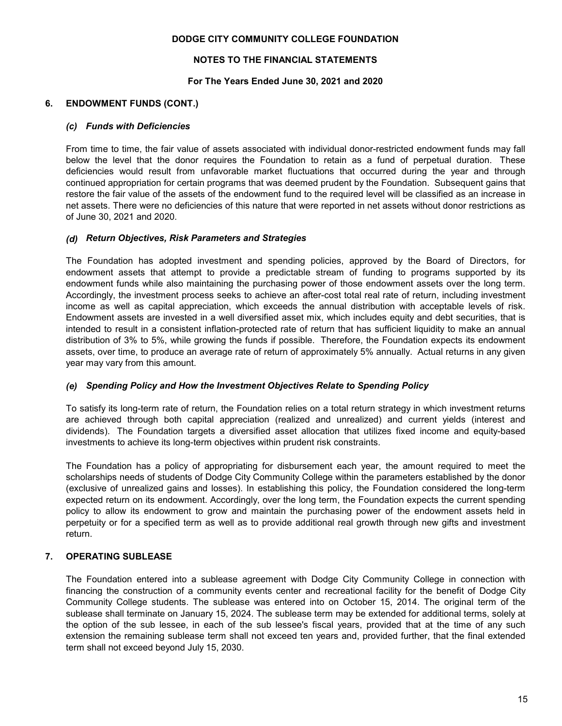#### **NOTES TO THE FINANCIAL STATEMENTS**

#### **For The Years Ended June 30, 2021 and 2020**

#### **6. ENDOWMENT FUNDS (CONT.)**

#### *(c) Funds with Deficiencies*

From time to time, the fair value of assets associated with individual donor-restricted endowment funds may fall below the level that the donor requires the Foundation to retain as a fund of perpetual duration. These deficiencies would result from unfavorable market fluctuations that occurred during the year and through continued appropriation for certain programs that was deemed prudent by the Foundation. Subsequent gains that restore the fair value of the assets of the endowment fund to the required level will be classified as an increase in net assets. There were no deficiencies of this nature that were reported in net assets without donor restrictions as of June 30, 2021 and 2020.

#### *(d) Return Objectives, Risk Parameters and Strategies*

The Foundation has adopted investment and spending policies, approved by the Board of Directors, for endowment assets that attempt to provide a predictable stream of funding to programs supported by its endowment funds while also maintaining the purchasing power of those endowment assets over the long term. Accordingly, the investment process seeks to achieve an after-cost total real rate of return, including investment income as well as capital appreciation, which exceeds the annual distribution with acceptable levels of risk. Endowment assets are invested in a well diversified asset mix, which includes equity and debt securities, that is intended to result in a consistent inflation-protected rate of return that has sufficient liquidity to make an annual distribution of 3% to 5%, while growing the funds if possible. Therefore, the Foundation expects its endowment assets, over time, to produce an average rate of return of approximately 5% annually. Actual returns in any given year may vary from this amount.

#### *(e) Spending Policy and How the Investment Objectives Relate to Spending Policy*

To satisfy its long-term rate of return, the Foundation relies on a total return strategy in which investment returns are achieved through both capital appreciation (realized and unrealized) and current yields (interest and dividends). The Foundation targets a diversified asset allocation that utilizes fixed income and equity-based investments to achieve its long-term objectives within prudent risk constraints.

The Foundation has a policy of appropriating for disbursement each year, the amount required to meet the scholarships needs of students of Dodge City Community College within the parameters established by the donor (exclusive of unrealized gains and losses). In establishing this policy, the Foundation considered the long-term expected return on its endowment. Accordingly, over the long term, the Foundation expects the current spending policy to allow its endowment to grow and maintain the purchasing power of the endowment assets held in perpetuity or for a specified term as well as to provide additional real growth through new gifts and investment return.

#### **7. OPERATING SUBLEASE**

The Foundation entered into a sublease agreement with Dodge City Community College in connection with financing the construction of a community events center and recreational facility for the benefit of Dodge City Community College students. The sublease was entered into on October 15, 2014. The original term of the sublease shall terminate on January 15, 2024. The sublease term may be extended for additional terms, solely at the option of the sub lessee, in each of the sub lessee's fiscal years, provided that at the time of any such extension the remaining sublease term shall not exceed ten years and, provided further, that the final extended term shall not exceed beyond July 15, 2030.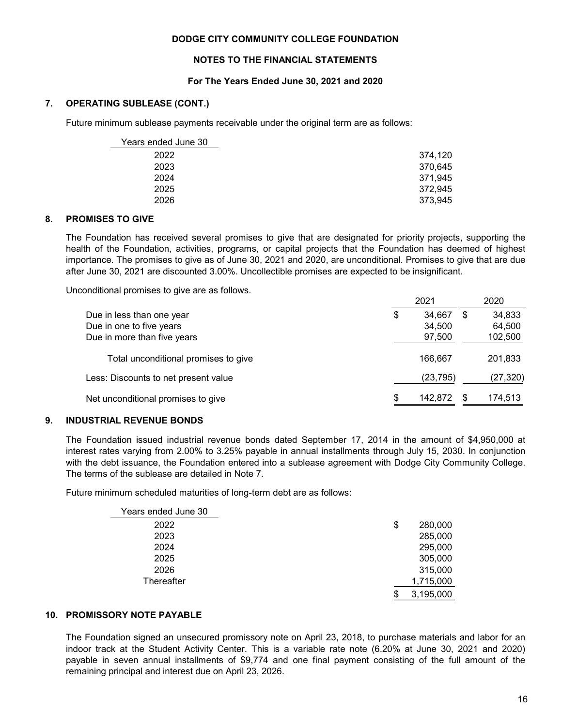# **NOTES TO THE FINANCIAL STATEMENTS**

#### **For The Years Ended June 30, 2021 and 2020**

#### **7. OPERATING SUBLEASE (CONT.)**

Future minimum sublease payments receivable under the original term are as follows:

| Years ended June 30 |         |
|---------------------|---------|
| 2022                | 374,120 |
| 2023                | 370,645 |
| 2024                | 371,945 |
| 2025                | 372.945 |
| 2026                | 373,945 |

#### **8. PROMISES TO GIVE**

The Foundation has received several promises to give that are designated for priority projects, supporting the health of the Foundation, activities, programs, or capital projects that the Foundation has deemed of highest importance. The promises to give as of June 30, 2021 and 2020, are unconditional. Promises to give that are due after June 30, 2021 are discounted 3.00%. Uncollectible promises are expected to be insignificant.

Unconditional promises to give are as follows.

|                                      |    | 2021      |    | 2020      |  |
|--------------------------------------|----|-----------|----|-----------|--|
| Due in less than one year            | \$ | 34.667    | \$ | 34,833    |  |
| Due in one to five years             |    | 34,500    |    | 64,500    |  |
| Due in more than five years          |    | 97,500    |    | 102,500   |  |
| Total unconditional promises to give |    | 166.667   |    | 201,833   |  |
| Less: Discounts to net present value |    | (23, 795) |    | (27, 320) |  |
| Net unconditional promises to give   | S  | 142.872   | S  | 174,513   |  |

#### **9. INDUSTRIAL REVENUE BONDS**

The Foundation issued industrial revenue bonds dated September 17, 2014 in the amount of \$4,950,000 at interest rates varying from 2.00% to 3.25% payable in annual installments through July 15, 2030. In conjunction with the debt issuance, the Foundation entered into a sublease agreement with Dodge City Community College. The terms of the sublease are detailed in Note 7.

Future minimum scheduled maturities of long-term debt are as follows:

| Years ended June 30 |    |
|---------------------|----|
| 2022                | \$ |
| 2023                |    |
| 2024                |    |
| 2025                |    |
| 2026                |    |
| Thereafter          |    |
|                     | \$ |

#### **10. PROMISSORY NOTE PAYABLE**

The Foundation signed an unsecured promissory note on April 23, 2018, to purchase materials and labor for an indoor track at the Student Activity Center. This is a variable rate note (6.20% at June 30, 2021 and 2020) payable in seven annual installments of \$9,774 and one final payment consisting of the full amount of the remaining principal and interest due on April 23, 2026.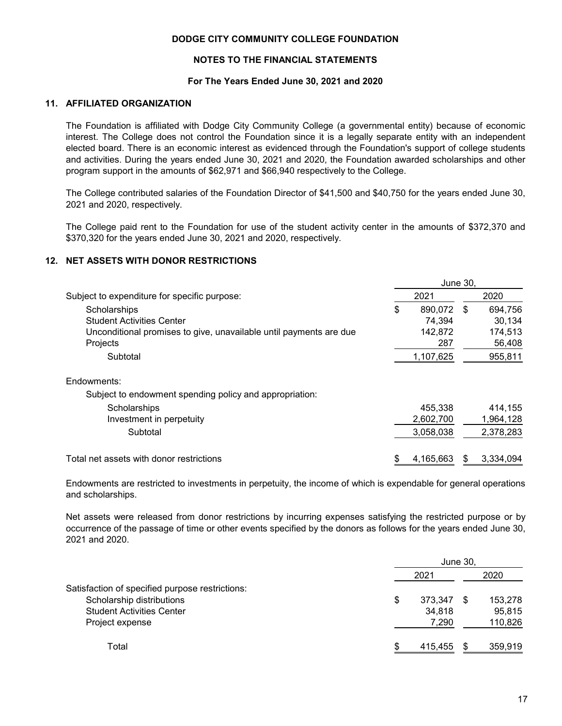#### **NOTES TO THE FINANCIAL STATEMENTS**

#### **For The Years Ended June 30, 2021 and 2020**

#### **11. AFFILIATED ORGANIZATION**

The Foundation is affiliated with Dodge City Community College (a governmental entity) because of economic interest. The College does not control the Foundation since it is a legally separate entity with an independent elected board. There is an economic interest as evidenced through the Foundation's support of college students and activities. During the years ended June 30, 2021 and 2020, the Foundation awarded scholarships and other program support in the amounts of \$62,971 and \$66,940 respectively to the College.

The College contributed salaries of the Foundation Director of \$41,500 and \$40,750 for the years ended June 30, 2021 and 2020, respectively.

The College paid rent to the Foundation for use of the student activity center in the amounts of \$372,370 and \$370,320 for the years ended June 30, 2021 and 2020, respectively.

#### **12. NET ASSETS WITH DONOR RESTRICTIONS**

|                                                                    | June 30. |           |   |           |  |
|--------------------------------------------------------------------|----------|-----------|---|-----------|--|
| Subject to expenditure for specific purpose:                       |          | 2021      |   | 2020      |  |
| Scholarships                                                       | \$       | 890,072   | S | 694,756   |  |
| <b>Student Activities Center</b>                                   |          | 74,394    |   | 30,134    |  |
| Unconditional promises to give, unavailable until payments are due |          | 142,872   |   | 174,513   |  |
| Projects                                                           |          | 287       |   | 56,408    |  |
| Subtotal                                                           |          | 1,107,625 |   | 955,811   |  |
| Endowments:                                                        |          |           |   |           |  |
| Subject to endowment spending policy and appropriation:            |          |           |   |           |  |
| Scholarships                                                       |          | 455,338   |   | 414,155   |  |
| Investment in perpetuity                                           |          | 2,602,700 |   | 1,964,128 |  |
| Subtotal                                                           |          | 3,058,038 |   | 2,378,283 |  |
| Total net assets with donor restrictions                           | \$       | 4,165,663 | S | 3.334.094 |  |

Endowments are restricted to investments in perpetuity, the income of which is expendable for general operations and scholarships.

Net assets were released from donor restrictions by incurring expenses satisfying the restricted purpose or by occurrence of the passage of time or other events specified by the donors as follows for the years ended June 30, 2021 and 2020.

|                                                 | June 30,      |  |         |
|-------------------------------------------------|---------------|--|---------|
|                                                 | 2021          |  | 2020    |
| Satisfaction of specified purpose restrictions: |               |  |         |
| Scholarship distributions                       | \$<br>373.347 |  | 153.278 |
| <b>Student Activities Center</b>                | 34,818        |  | 95,815  |
| Project expense                                 | 7,290         |  | 110,826 |
| Total                                           | 415.455       |  | 359,919 |

 $\overline{\phantom{a}}$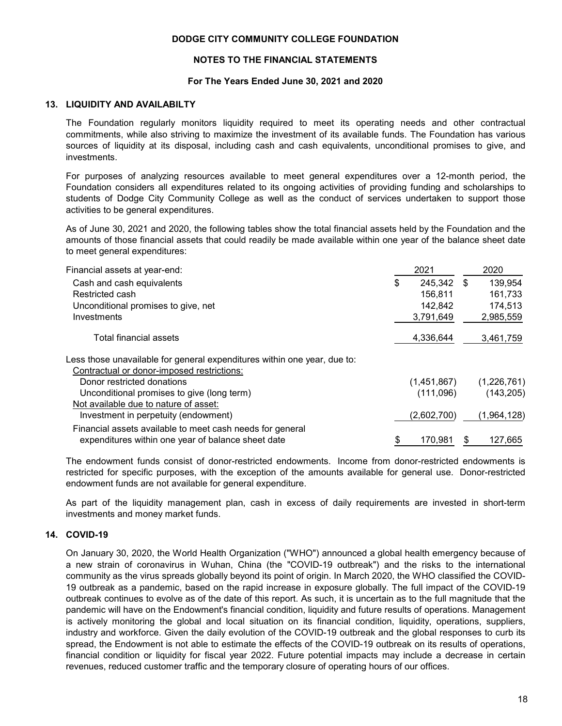#### **NOTES TO THE FINANCIAL STATEMENTS**

#### **For The Years Ended June 30, 2021 and 2020**

#### **13. LIQUIDITY AND AVAILABILTY**

The Foundation regularly monitors liquidity required to meet its operating needs and other contractual commitments, while also striving to maximize the investment of its available funds. The Foundation has various sources of liquidity at its disposal, including cash and cash equivalents, unconditional promises to give, and investments.

For purposes of analyzing resources available to meet general expenditures over a 12-month period, the Foundation considers all expenditures related to its ongoing activities of providing funding and scholarships to students of Dodge City Community College as well as the conduct of services undertaken to support those activities to be general expenditures.

As of June 30, 2021 and 2020, the following tables show the total financial assets held by the Foundation and the amounts of those financial assets that could readily be made available within one year of the balance sheet date to meet general expenditures:

| Financial assets at year-end:                                            | 2021 |             | 2020 |             |
|--------------------------------------------------------------------------|------|-------------|------|-------------|
| Cash and cash equivalents                                                | \$   | 245,342     | -S   | 139,954     |
| Restricted cash                                                          |      | 156,811     |      | 161,733     |
| Unconditional promises to give, net                                      |      | 142,842     |      | 174,513     |
| Investments                                                              |      | 3,791,649   |      | 2,985,559   |
| Total financial assets                                                   |      | 4,336,644   |      | 3,461,759   |
| Less those unavailable for general expenditures within one year, due to: |      |             |      |             |
| Contractual or donor-imposed restrictions:                               |      |             |      |             |
| Donor restricted donations                                               |      | (1,451,867) |      | (1,226,761) |
| Unconditional promises to give (long term)                               |      | (111,096)   |      | (143, 205)  |
| Not available due to nature of asset:                                    |      |             |      |             |
| Investment in perpetuity (endowment)                                     |      | (2,602,700) |      | (1,964,128) |
| Financial assets available to meet cash needs for general                |      |             |      |             |
| expenditures within one year of balance sheet date                       | \$   | 170.981     |      | 127.665     |

The endowment funds consist of donor-restricted endowments. Income from donor-restricted endowments is restricted for specific purposes, with the exception of the amounts available for general use. Donor-restricted endowment funds are not available for general expenditure.

As part of the liquidity management plan, cash in excess of daily requirements are invested in short-term investments and money market funds.

#### **14. COVID-19**

On January 30, 2020, the World Health Organization ("WHO") announced a global health emergency because of a new strain of coronavirus in Wuhan, China (the "COVID-19 outbreak") and the risks to the international community as the virus spreads globally beyond its point of origin. In March 2020, the WHO classified the COVID-19 outbreak as a pandemic, based on the rapid increase in exposure globally. The full impact of the COVID-19 outbreak continues to evolve as of the date of this report. As such, it is uncertain as to the full magnitude that the pandemic will have on the Endowment's financial condition, liquidity and future results of operations. Management is actively monitoring the global and local situation on its financial condition, liquidity, operations, suppliers, industry and workforce. Given the daily evolution of the COVID-19 outbreak and the global responses to curb its spread, the Endowment is not able to estimate the effects of the COVID-19 outbreak on its results of operations, financial condition or liquidity for fiscal year 2022. Future potential impacts may include a decrease in certain revenues, reduced customer traffic and the temporary closure of operating hours of our offices.